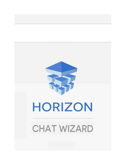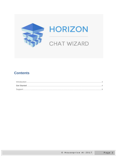

# **Contents**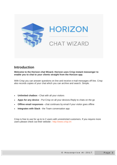

### <span id="page-2-0"></span>**Introduction**

**Welcome to the Horizon chat Wizard. Horizon uses Crisp instant messenger to enable you to chat to your clients straight from the Horizon app.**

With Crisp you can answer questions on line and receive e-mail messages off line. Crisp also records copies of your chat which you can archive and search. Simple.

- **Unlimited chatbox -** Chat with all your visitors
- **Apps for any device** Put Crisp on all your devices.Reply to chats on the go
- **Offline email responses -** chat continues by email if your visitor goes offline
- **Integrates with Slack** the Team conversation app

Crisp is free to use for up to to 2 users with unrestricted customers. If you require more users please check out their website : [http://www.crisp.im](http://www.crisp.im/)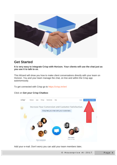

## <span id="page-3-0"></span>**Get Started**

**It is very easy to integrate Crisp with Horizon. Your clients will use the chat just as you use it to talk to us.**

This Wizard will show you how to make client conversations directly with your team on Horizon. You and your team manage the chat, on line and within the Crisp app autonomously.

To get connected with Crisp go to <https://crisp.im/en/>

#### Click on **Get your Crisp Chatbox**



Add your e-mail. Don't worry you can add your team members later**.**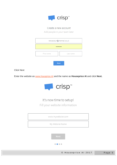

#### Create a new account

Add people in your team later

|            | newaccount@hotmail.co.uk<br> |
|------------|------------------------------|
| First name | Last name                    |
|            | <b>Next</b>                  |

#### **Click Next**

Enter the website as www.housprice.AI and the name as **Houseprice AI** and click Next.



# It's now time to setup! Fill your website information

www.mywebsite.com My Website Name  $\begin{array}{cccccccccccccc} 0 & 0 & 0 & 0 & 0 \end{array}$ 

© Houseprice Al 2017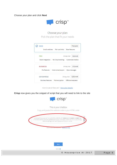Choose your plan and click **Next**



#### Choose your plan

Pick the plan that fit your needs

| <b>SEED</b>              |                                        |              | Free plan         |
|--------------------------|----------------------------------------|--------------|-------------------|
| Small websites           | Fair use limits Base features          |              |                   |
| PRO                      |                                        | 14 day trial | \$25/mth          |
| Slack integration        | Customize chatbox<br>No Crisp branding |              |                   |
| <b>BUSINESS</b>          |                                        | 14 day trial | \$70/mth          |
| Pro features             | Visitor email export<br>Mass messages  |              |                   |
| <b>FNTFRPRISE</b>        |                                        | 14 day trial | \$200/mth         |
| <b>Business features</b> | <b>Full encryption</b>                 |              | Offshore helpdesk |

Want to see all features? View plan details

**Crisp** now gives you the snippet of script that you will need to link to the site



This is your chatbox Copy and paste this website code in your HTML code rpttype="text|a=astript">Scrip=[]CRIP\_HEESTE\_C="3XXXXXXbcF+XXXXXX"+2xXXXXSTee .<br>https://www.archive.org/windows.com/windows/windows/windows/windows/windows/windows/windows/windows/windows/wi **COLINER** Don't know now **King our help** 

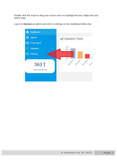Double click the script or drag your cursor over it to highlight the text. Right click and select copy.

Log in to **Horizon** as admin and click on settings on the Dashboard Menu bar.

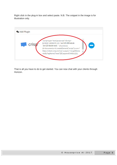Right click in the plug-in box and select paste. N.B. The snippet in the image is for illustration only.



That is all you have to do to get started. You can now chat with your clients through Horizon.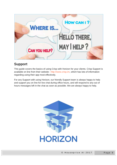

## <span id="page-8-0"></span>**Support**

This guide covers the basics of using Crisp with Horizon for your clients. Crisp Support is available on line from their website : [http://www.crisp.im,](http://www.crisp.im/) which has lots of information regarding using their app most effectively.

For any Support with using Horizon, our friendly Support team is always happy to help and support you on line for live chat during office hours, and will respond to any out of hours messages left in the chat as soon as possible. We are always happy to help.